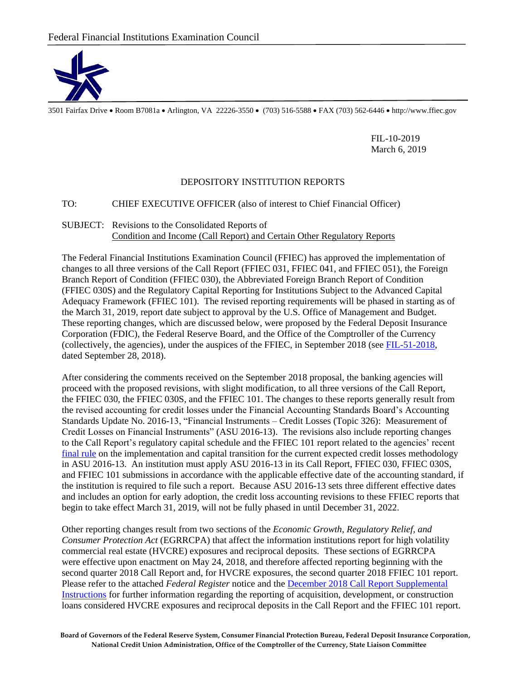

3501 Fairfax Drive Room B7081a Arlington, VA 22226-3550 (703) 516-5588 FAX (703) 562-6446 http://www.ffiec.gov

FIL-10-2019 March 6, 2019

## DEPOSITORY INSTITUTION REPORTS

## TO: CHIEF EXECUTIVE OFFICER (also of interest to Chief Financial Officer)

## SUBJECT: Revisions to the Consolidated Reports of Condition and Income (Call Report) and Certain Other Regulatory Reports

The Federal Financial Institutions Examination Council (FFIEC) has approved the implementation of changes to all three versions of the Call Report (FFIEC 031, FFIEC 041, and FFIEC 051), the Foreign Branch Report of Condition (FFIEC 030), the Abbreviated Foreign Branch Report of Condition (FFIEC 030S) and the Regulatory Capital Reporting for Institutions Subject to the Advanced Capital Adequacy Framework (FFIEC 101). The revised reporting requirements will be phased in starting as of the March 31, 2019, report date subject to approval by the U.S. Office of Management and Budget. These reporting changes, which are discussed below, were proposed by the Federal Deposit Insurance Corporation (FDIC), the Federal Reserve Board, and the Office of the Comptroller of the Currency (collectively, the agencies), under the auspices of the FFIEC, in September 2018 (see [FIL-51-2018,](https://www.fdic.gov/news/news/financial/2018/fil18051.html) dated September 28, 2018).

After considering the comments received on the September 2018 proposal, the banking agencies will proceed with the proposed revisions, with slight modification, to all three versions of the Call Report, the FFIEC 030, the FFIEC 030S, and the FFIEC 101. The changes to these reports generally result from the revised accounting for credit losses under the Financial Accounting Standards Board's Accounting Standards Update No. 2016-13, "Financial Instruments – Credit Losses (Topic 326): Measurement of Credit Losses on Financial Instruments" (ASU 2016-13). The revisions also include reporting changes to the Call Report's regulatory capital schedule and the FFIEC 101 report related to the agencies' recent [final rule](https://www.govinfo.gov/content/pkg/FR-2019-02-14/pdf/2018-28281.pdf) on the implementation and capital transition for the current expected credit losses methodology in ASU 2016-13. An institution must apply ASU 2016-13 in its Call Report, FFIEC 030, FFIEC 030S, and FFIEC 101 submissions in accordance with the applicable effective date of the accounting standard, if the institution is required to file such a report. Because ASU 2016-13 sets three different effective dates and includes an option for early adoption, the credit loss accounting revisions to these FFIEC reports that begin to take effect March 31, 2019, will not be fully phased in until December 31, 2022.

Other reporting changes result from two sections of the *Economic Growth, Regulatory Relief, and Consumer Protection Act* (EGRRCPA) that affect the information institutions report for high volatility commercial real estate (HVCRE) exposures and reciprocal deposits. These sections of EGRRCPA were effective upon enactment on May 24, 2018, and therefore affected reporting beginning with the second quarter 2018 Call Report and, for HVCRE exposures, the second quarter 2018 FFIEC 101 report. Please refer to the attached *Federal Register* notice and the [December 2018 Call Report Supplemental](https://www.ffiec.gov/pdf/FFIEC_forms/FFIEC031_FFIEC041_FFIEC051_suppinst_201812.pdf)  [Instructions](https://www.ffiec.gov/pdf/FFIEC_forms/FFIEC031_FFIEC041_FFIEC051_suppinst_201812.pdf) for further information regarding the reporting of acquisition, development, or construction loans considered HVCRE exposures and reciprocal deposits in the Call Report and the FFIEC 101 report.

**Board of Governors of the Federal Reserve System, Consumer Financial Protection Bureau, Federal Deposit Insurance Corporation, National Credit Union Administration, Office of the Comptroller of the Currency, State Liaison Committee**